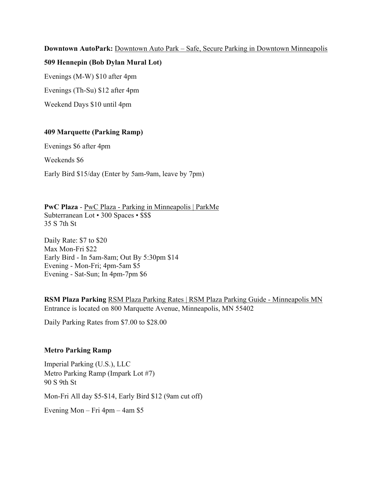#### **Downtown AutoPark:** Downtown Auto Park – Safe, Secure Parking in Downtown Minneapolis

#### **509 Hennepin (Bob Dylan Mural Lot)**

Evenings (M-W) \$10 after 4pm

Evenings (Th-Su) \$12 after 4pm

Weekend Days \$10 until 4pm

### **409 Marquette (Parking Ramp)**

Evenings \$6 after 4pm

Weekends \$6

Early Bird \$15/day (Enter by 5am-9am, leave by 7pm)

**PwC Plaza** - PwC Plaza - Parking in Minneapolis | ParkMe Subterranean Lot • 300 Spaces • \$\$\$ 35 S 7th St

Daily Rate: \$7 to \$20 Max Mon-Fri \$22 Early Bird - In 5am-8am; Out By 5:30pm \$14 Evening - Mon-Fri; 4pm-5am \$5 Evening - Sat-Sun; In 4pm-7pm \$6

**RSM Plaza Parking** RSM Plaza Parking Rates | RSM Plaza Parking Guide - Minneapolis MN Entrance is located on 800 Marquette Avenue, Minneapolis, MN 55402

Daily Parking Rates from \$7.00 to \$28.00

### **Metro Parking Ramp**

Imperial Parking (U.S.), LLC Metro Parking Ramp (Impark Lot #7) 90 S 9th St

Mon-Fri All day \$5-\$14, Early Bird \$12 (9am cut off)

Evening Mon – Fri 4pm – 4am \$5